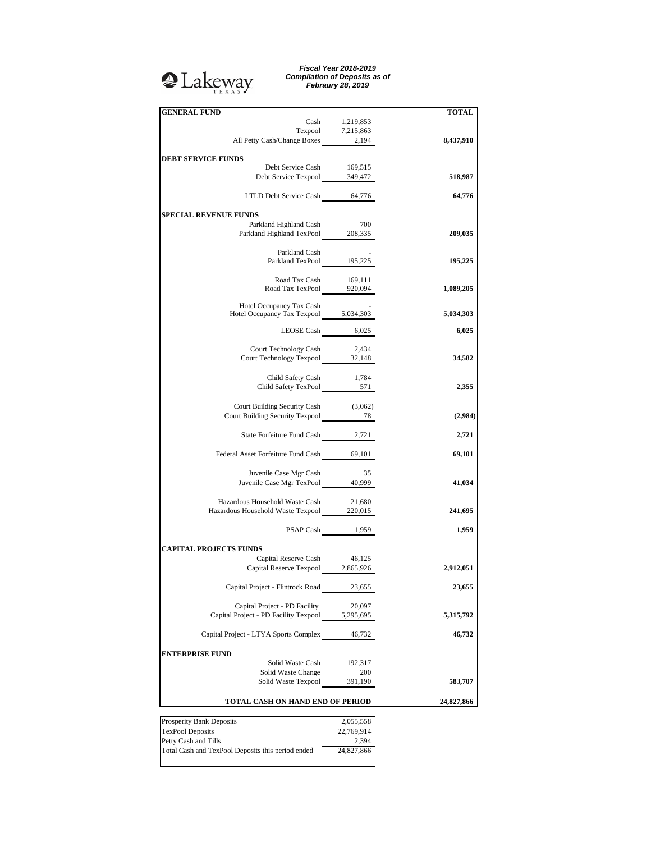## <sup>2</sup>Lakeway

*Fiscal Year 2018-2019 Compilation of Deposits as of Febraury 28, 2019*

| <b>GENERAL FUND</b>                                              |                   | <b>TOTAL</b> |
|------------------------------------------------------------------|-------------------|--------------|
|                                                                  | Cash 1,219,853    |              |
|                                                                  | Texpool 7,215,863 |              |
| All Petty Cash/Change Boxes 2,194                                |                   | 8,437,910    |
|                                                                  |                   |              |
| <b>DEBT SERVICE FUNDS</b>                                        |                   |              |
| Debt Service Cash<br>Debt Service Texpool 349,472                | 169,515           | 518,987      |
|                                                                  |                   |              |
| LTLD Debt Service Cash 64,776                                    |                   | 64,776       |
|                                                                  |                   |              |
| <b>SPECIAL REVENUE FUNDS</b>                                     |                   |              |
| Parkland Highland Cash                                           | 700               |              |
| Parkland Highland TexPool 208,335                                |                   | 209,035      |
|                                                                  |                   |              |
| Parkland Cash                                                    |                   |              |
| Parkland TexPool 195,225                                         |                   | 195,225      |
|                                                                  |                   |              |
| Road Tax Cash 169,111                                            |                   |              |
| Road Tax TexPool 920,094                                         |                   | 1,089,205    |
| Hotel Occupancy Tax Cash                                         |                   |              |
| Hotel Occupancy Tax Texpool 5,034,303                            |                   | 5,034,303    |
|                                                                  |                   |              |
| LEOSE Cash 6,025                                                 |                   | 6,025        |
|                                                                  |                   |              |
| Court Technology Cash                                            | 2,434             |              |
| Court Technology Texpool 32,148                                  |                   | 34,582       |
|                                                                  |                   |              |
| Child Safety Cash                                                | 1,784             |              |
| Child Safety TexPool 571                                         |                   | 2,355        |
|                                                                  |                   |              |
| Court Building Security Cash (3,062)                             |                   |              |
| Court Building Security Texpool 28                               |                   | (2,984)      |
|                                                                  |                   |              |
| State Forfeiture Fund Cash 2,721                                 |                   | 2,721        |
| Federal Asset Forfeiture Fund Cash 69,101                        |                   | 69,101       |
|                                                                  |                   |              |
| Juvenile Case Mgr Cash                                           | 35                |              |
| Juvenile Case Mgr TexPool 40,999                                 |                   | 41,034       |
|                                                                  |                   |              |
| Hazardous Household Waste Cash                                   | 21,680            |              |
| Hazardous Household Waste Texpool 220,015                        |                   | 241,695      |
|                                                                  |                   |              |
|                                                                  | PSAP Cash 1,959   | 1,959        |
|                                                                  |                   |              |
| <b>CAPITAL PROJECTS FUNDS</b>                                    |                   |              |
| Capital Reserve Cash 46,125<br>Capital Reserve Texpool 2,865,926 |                   |              |
|                                                                  |                   | 2,912,051    |
|                                                                  |                   |              |
| Capital Project - Flintrock Road                                 | 23,655            | 23,655       |
|                                                                  |                   |              |
| Capital Project - PD Facility                                    | 20,097            |              |
| Capital Project - PD Facility Texpool                            | 5,295,695         | 5,315,792    |
|                                                                  |                   |              |
| Capital Project - LTYA Sports Complex                            | 46,732            | 46,732       |
|                                                                  |                   |              |
| <b>ENTERPRISE FUND</b>                                           |                   |              |
| Solid Waste Cash                                                 | 192,317           |              |
| Solid Waste Change<br>Solid Waste Texpool                        | 200<br>391,190    | 583,707      |
|                                                                  |                   |              |
| TOTAL CASH ON HAND END OF PERIOD                                 |                   | 24,827,866   |
|                                                                  |                   |              |
| <b>Prosperity Bank Deposits</b>                                  | 2,055,558         |              |
| Toy Dool Donosite                                                | 22.760.014        |              |

TexPool Deposits 22,769,914 Petty Cash and Tills 2,394 Total Cash and TexPool Deposits this period ended 24,827,866